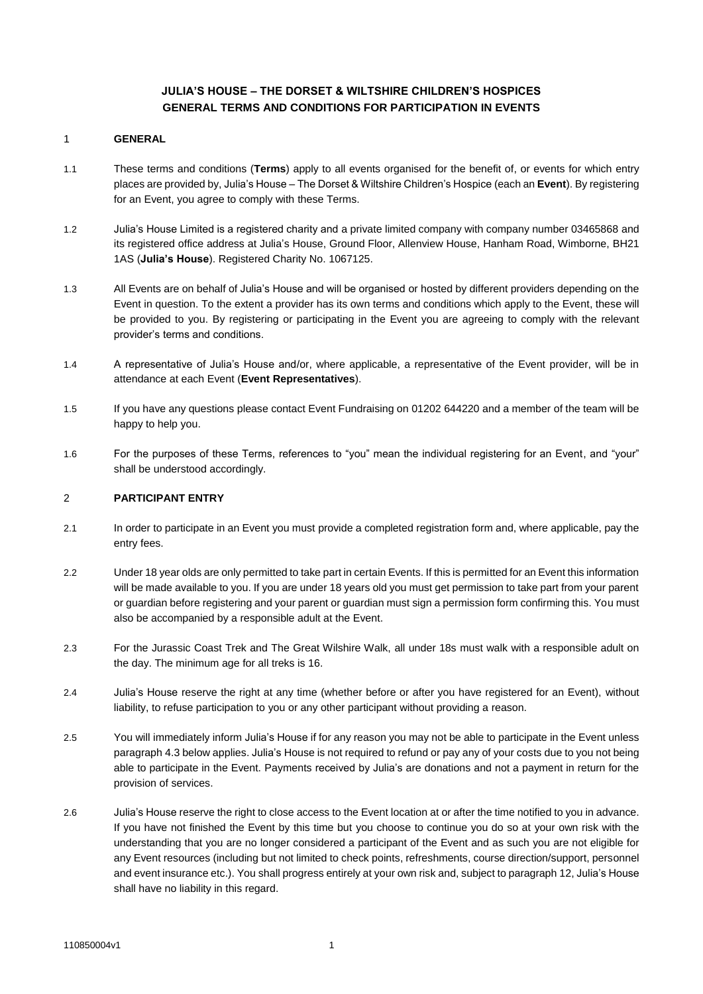# **JULIA'S HOUSE – THE DORSET & WILTSHIRE CHILDREN'S HOSPICES GENERAL TERMS AND CONDITIONS FOR PARTICIPATION IN EVENTS**

### 1 **GENERAL**

- 1.1 These terms and conditions (**Terms**) apply to all events organised for the benefit of, or events for which entry places are provided by, Julia's House – The Dorset & Wiltshire Children's Hospice (each an **Event**). By registering for an Event, you agree to comply with these Terms.
- 1.2 Julia's House Limited is a registered charity and a private limited company with company number 03465868 and its registered office address at Julia's House, Ground Floor, Allenview House, Hanham Road, Wimborne, BH21 1AS (**Julia's House**). Registered Charity No. 1067125.
- 1.3 All Events are on behalf of Julia's House and will be organised or hosted by different providers depending on the Event in question. To the extent a provider has its own terms and conditions which apply to the Event, these will be provided to you. By registering or participating in the Event you are agreeing to comply with the relevant provider's terms and conditions.
- 1.4 A representative of Julia's House and/or, where applicable, a representative of the Event provider, will be in attendance at each Event (**Event Representatives**).
- 1.5 If you have any questions please contact Event Fundraising on 01202 644220 and a member of the team will be happy to help you.
- 1.6 For the purposes of these Terms, references to "you" mean the individual registering for an Event, and "your" shall be understood accordingly.

# 2 **PARTICIPANT ENTRY**

- 2.1 In order to participate in an Event you must provide a completed registration form and, where applicable, pay the entry fees.
- 2.2 Under 18 year olds are only permitted to take part in certain Events. If this is permitted for an Event this information will be made available to you. If you are under 18 years old you must get permission to take part from your parent or guardian before registering and your parent or guardian must sign a permission form confirming this. You must also be accompanied by a responsible adult at the Event.
- 2.3 For the Jurassic Coast Trek and The Great Wilshire Walk, all under 18s must walk with a responsible adult on the day. The minimum age for all treks is 16.
- 2.4 Julia's House reserve the right at any time (whether before or after you have registered for an Event), without liability, to refuse participation to you or any other participant without providing a reason.
- 2.5 You will immediately inform Julia's House if for any reason you may not be able to participate in the Event unless paragraph 4.3 below applies. Julia's House is not required to refund or pay any of your costs due to you not being able to participate in the Event. Payments received by Julia's are donations and not a payment in return for the provision of services.
- 2.6 Julia's House reserve the right to close access to the Event location at or after the time notified to you in advance. If you have not finished the Event by this time but you choose to continue you do so at your own risk with the understanding that you are no longer considered a participant of the Event and as such you are not eligible for any Event resources (including but not limited to check points, refreshments, course direction/support, personnel and event insurance etc.). You shall progress entirely at your own risk and, subject to paragraph 12, Julia's House shall have no liability in this regard.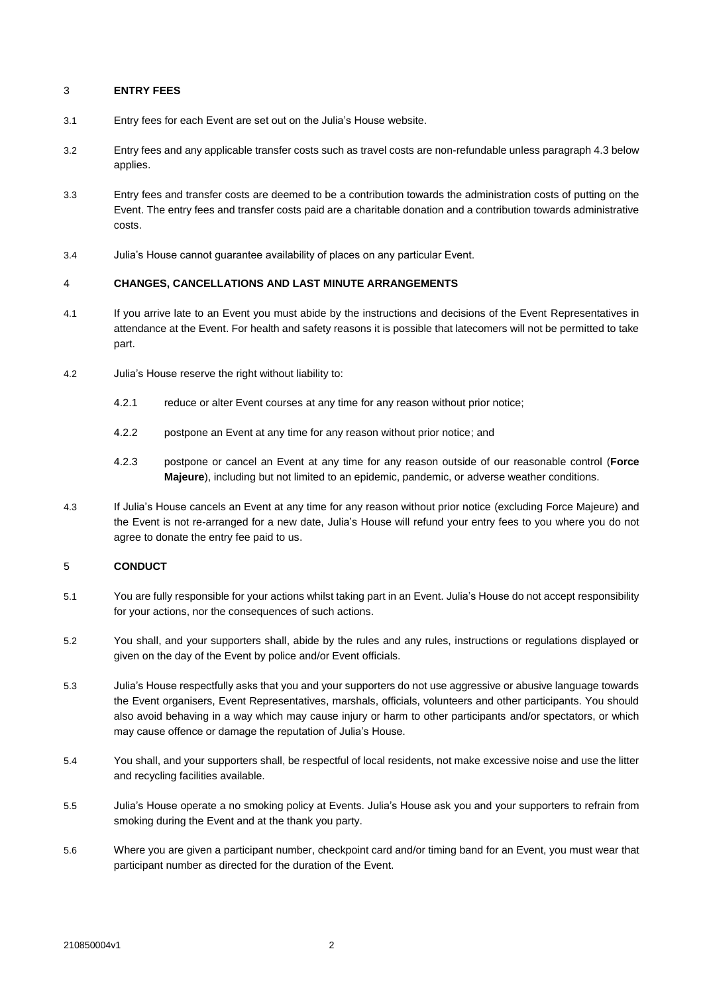### 3 **ENTRY FEES**

- 3.1 Entry fees for each Event are set out on the Julia's House website.
- 3.2 Entry fees and any applicable transfer costs such as travel costs are non-refundable unless paragraph 4.3 below applies.
- 3.3 Entry fees and transfer costs are deemed to be a contribution towards the administration costs of putting on the Event. The entry fees and transfer costs paid are a charitable donation and a contribution towards administrative costs.
- 3.4 Julia's House cannot guarantee availability of places on any particular Event.

#### 4 **CHANGES, CANCELLATIONS AND LAST MINUTE ARRANGEMENTS**

- 4.1 If you arrive late to an Event you must abide by the instructions and decisions of the Event Representatives in attendance at the Event. For health and safety reasons it is possible that latecomers will not be permitted to take part.
- 4.2 Julia's House reserve the right without liability to:
	- 4.2.1 reduce or alter Event courses at any time for any reason without prior notice;
	- 4.2.2 postpone an Event at any time for any reason without prior notice; and
	- 4.2.3 postpone or cancel an Event at any time for any reason outside of our reasonable control (**Force Majeure**), including but not limited to an epidemic, pandemic, or adverse weather conditions.
- 4.3 If Julia's House cancels an Event at any time for any reason without prior notice (excluding Force Majeure) and the Event is not re-arranged for a new date, Julia's House will refund your entry fees to you where you do not agree to donate the entry fee paid to us.

#### 5 **CONDUCT**

- 5.1 You are fully responsible for your actions whilst taking part in an Event. Julia's House do not accept responsibility for your actions, nor the consequences of such actions.
- 5.2 You shall, and your supporters shall, abide by the rules and any rules, instructions or regulations displayed or given on the day of the Event by police and/or Event officials.
- 5.3 Julia's House respectfully asks that you and your supporters do not use aggressive or abusive language towards the Event organisers, Event Representatives, marshals, officials, volunteers and other participants. You should also avoid behaving in a way which may cause injury or harm to other participants and/or spectators, or which may cause offence or damage the reputation of Julia's House.
- 5.4 You shall, and your supporters shall, be respectful of local residents, not make excessive noise and use the litter and recycling facilities available.
- 5.5 Julia's House operate a no smoking policy at Events. Julia's House ask you and your supporters to refrain from smoking during the Event and at the thank you party.
- 5.6 Where you are given a participant number, checkpoint card and/or timing band for an Event, you must wear that participant number as directed for the duration of the Event.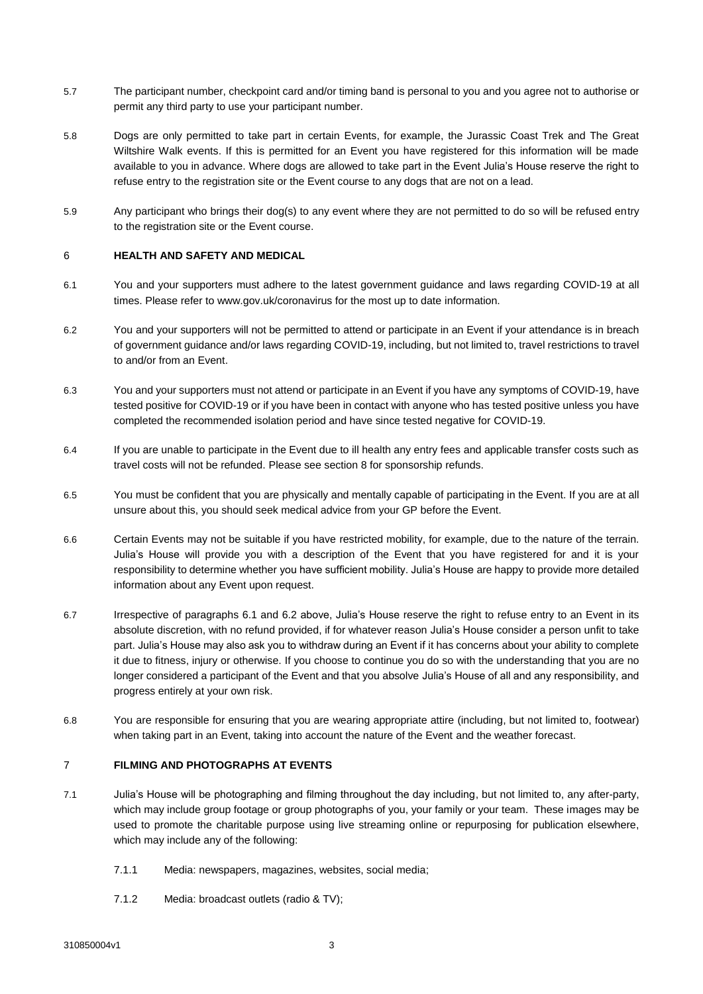- 5.7 The participant number, checkpoint card and/or timing band is personal to you and you agree not to authorise or permit any third party to use your participant number.
- 5.8 Dogs are only permitted to take part in certain Events, for example, the Jurassic Coast Trek and The Great Wiltshire Walk events. If this is permitted for an Event you have registered for this information will be made available to you in advance. Where dogs are allowed to take part in the Event Julia's House reserve the right to refuse entry to the registration site or the Event course to any dogs that are not on a lead.
- 5.9 Any participant who brings their dog(s) to any event where they are not permitted to do so will be refused entry to the registration site or the Event course.

## 6 **HEALTH AND SAFETY AND MEDICAL**

- 6.1 You and your supporters must adhere to the latest government guidance and laws regarding COVID-19 at all times. Please refer to www.gov.uk/coronavirus for the most up to date information.
- 6.2 You and your supporters will not be permitted to attend or participate in an Event if your attendance is in breach of government guidance and/or laws regarding COVID-19, including, but not limited to, travel restrictions to travel to and/or from an Event.
- 6.3 You and your supporters must not attend or participate in an Event if you have any symptoms of COVID-19, have tested positive for COVID-19 or if you have been in contact with anyone who has tested positive unless you have completed the recommended isolation period and have since tested negative for COVID-19.
- 6.4 If you are unable to participate in the Event due to ill health any entry fees and applicable transfer costs such as travel costs will not be refunded. Please see section 8 for sponsorship refunds.
- 6.5 You must be confident that you are physically and mentally capable of participating in the Event. If you are at all unsure about this, you should seek medical advice from your GP before the Event.
- 6.6 Certain Events may not be suitable if you have restricted mobility, for example, due to the nature of the terrain. Julia's House will provide you with a description of the Event that you have registered for and it is your responsibility to determine whether you have sufficient mobility. Julia's House are happy to provide more detailed information about any Event upon request.
- 6.7 Irrespective of paragraphs 6.1 and 6.2 above, Julia's House reserve the right to refuse entry to an Event in its absolute discretion, with no refund provided, if for whatever reason Julia's House consider a person unfit to take part. Julia's House may also ask you to withdraw during an Event if it has concerns about your ability to complete it due to fitness, injury or otherwise. If you choose to continue you do so with the understanding that you are no longer considered a participant of the Event and that you absolve Julia's House of all and any responsibility, and progress entirely at your own risk.
- 6.8 You are responsible for ensuring that you are wearing appropriate attire (including, but not limited to, footwear) when taking part in an Event, taking into account the nature of the Event and the weather forecast.

## 7 **FILMING AND PHOTOGRAPHS AT EVENTS**

- 7.1 Julia's House will be photographing and filming throughout the day including, but not limited to, any after-party, which may include group footage or group photographs of you, your family or your team. These images may be used to promote the charitable purpose using live streaming online or repurposing for publication elsewhere, which may include any of the following:
	- 7.1.1 Media: newspapers, magazines, websites, social media;
	- 7.1.2 Media: broadcast outlets (radio & TV);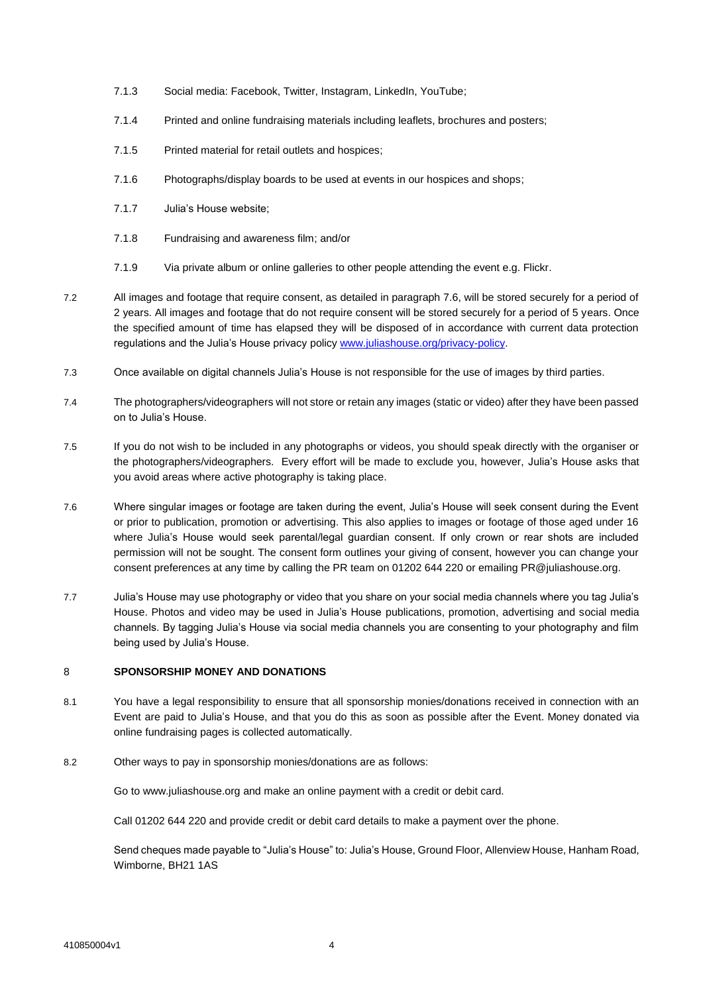- 7.1.3 Social media: Facebook, Twitter, Instagram, LinkedIn, YouTube;
- 7.1.4 Printed and online fundraising materials including leaflets, brochures and posters;
- 7.1.5 Printed material for retail outlets and hospices;
- 7.1.6 Photographs/display boards to be used at events in our hospices and shops;
- 7.1.7 Julia's House website;
- 7.1.8 Fundraising and awareness film; and/or
- 7.1.9 Via private album or online galleries to other people attending the event e.g. Flickr.
- 7.2 All images and footage that require consent, as detailed in paragraph 7.6, will be stored securely for a period of 2 years. All images and footage that do not require consent will be stored securely for a period of 5 years. Once the specified amount of time has elapsed they will be disposed of in accordance with current data protection regulations and the Julia's House privacy policy [www.juliashouse.org/privacy-policy.](http://www.juliashouse.org/privacy-policy)
- 7.3 Once available on digital channels Julia's House is not responsible for the use of images by third parties.
- 7.4 The photographers/videographers will not store or retain any images (static or video) after they have been passed on to Julia's House.
- 7.5 If you do not wish to be included in any photographs or videos, you should speak directly with the organiser or the photographers/videographers. Every effort will be made to exclude you, however, Julia's House asks that you avoid areas where active photography is taking place.
- 7.6 Where singular images or footage are taken during the event, Julia's House will seek consent during the Event or prior to publication, promotion or advertising. This also applies to images or footage of those aged under 16 where Julia's House would seek parental/legal guardian consent. If only crown or rear shots are included permission will not be sought. The consent form outlines your giving of consent, however you can change your consent preferences at any time by calling the PR team on 01202 644 220 or emailing PR@juliashouse.org.
- 7.7 Julia's House may use photography or video that you share on your social media channels where you tag Julia's House. Photos and video may be used in Julia's House publications, promotion, advertising and social media channels. By tagging Julia's House via social media channels you are consenting to your photography and film being used by Julia's House.

#### 8 **SPONSORSHIP MONEY AND DONATIONS**

- 8.1 You have a legal responsibility to ensure that all sponsorship monies/donations received in connection with an Event are paid to Julia's House, and that you do this as soon as possible after the Event. Money donated via online fundraising pages is collected automatically.
- 8.2 Other ways to pay in sponsorship monies/donations are as follows:

Go to www.juliashouse.org and make an online payment with a credit or debit card.

Call 01202 644 220 and provide credit or debit card details to make a payment over the phone.

Send cheques made payable to "Julia's House" to: Julia's House, Ground Floor, Allenview House, Hanham Road, Wimborne, BH21 1AS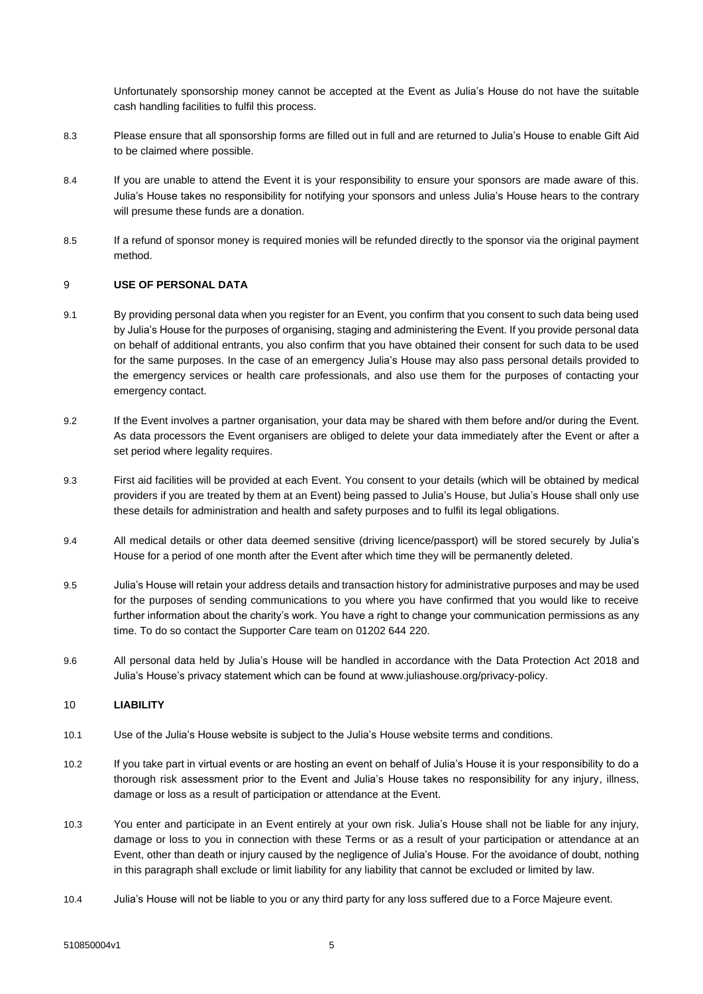Unfortunately sponsorship money cannot be accepted at the Event as Julia's House do not have the suitable cash handling facilities to fulfil this process.

- 8.3 Please ensure that all sponsorship forms are filled out in full and are returned to Julia's House to enable Gift Aid to be claimed where possible.
- 8.4 If you are unable to attend the Event it is your responsibility to ensure your sponsors are made aware of this. Julia's House takes no responsibility for notifying your sponsors and unless Julia's House hears to the contrary will presume these funds are a donation.
- 8.5 If a refund of sponsor money is required monies will be refunded directly to the sponsor via the original payment method.

## 9 **USE OF PERSONAL DATA**

- 9.1 By providing personal data when you register for an Event, you confirm that you consent to such data being used by Julia's House for the purposes of organising, staging and administering the Event. If you provide personal data on behalf of additional entrants, you also confirm that you have obtained their consent for such data to be used for the same purposes. In the case of an emergency Julia's House may also pass personal details provided to the emergency services or health care professionals, and also use them for the purposes of contacting your emergency contact.
- 9.2 If the Event involves a partner organisation, your data may be shared with them before and/or during the Event. As data processors the Event organisers are obliged to delete your data immediately after the Event or after a set period where legality requires.
- 9.3 First aid facilities will be provided at each Event. You consent to your details (which will be obtained by medical providers if you are treated by them at an Event) being passed to Julia's House, but Julia's House shall only use these details for administration and health and safety purposes and to fulfil its legal obligations.
- 9.4 All medical details or other data deemed sensitive (driving licence/passport) will be stored securely by Julia's House for a period of one month after the Event after which time they will be permanently deleted.
- 9.5 Julia's House will retain your address details and transaction history for administrative purposes and may be used for the purposes of sending communications to you where you have confirmed that you would like to receive further information about the charity's work. You have a right to change your communication permissions as any time. To do so contact the Supporter Care team on 01202 644 220.
- 9.6 All personal data held by Julia's House will be handled in accordance with the Data Protection Act 2018 and Julia's House's privacy statement which can be found at www.juliashouse.org/privacy-policy.

### 10 **LIABILITY**

- 10.1 Use of the Julia's House website is subject to the Julia's House website terms and conditions.
- 10.2 If you take part in virtual events or are hosting an event on behalf of Julia's House it is your responsibility to do a thorough risk assessment prior to the Event and Julia's House takes no responsibility for any injury, illness, damage or loss as a result of participation or attendance at the Event.
- 10.3 You enter and participate in an Event entirely at your own risk. Julia's House shall not be liable for any injury, damage or loss to you in connection with these Terms or as a result of your participation or attendance at an Event, other than death or injury caused by the negligence of Julia's House. For the avoidance of doubt, nothing in this paragraph shall exclude or limit liability for any liability that cannot be excluded or limited by law.
- 10.4 Julia's House will not be liable to you or any third party for any loss suffered due to a Force Majeure event.